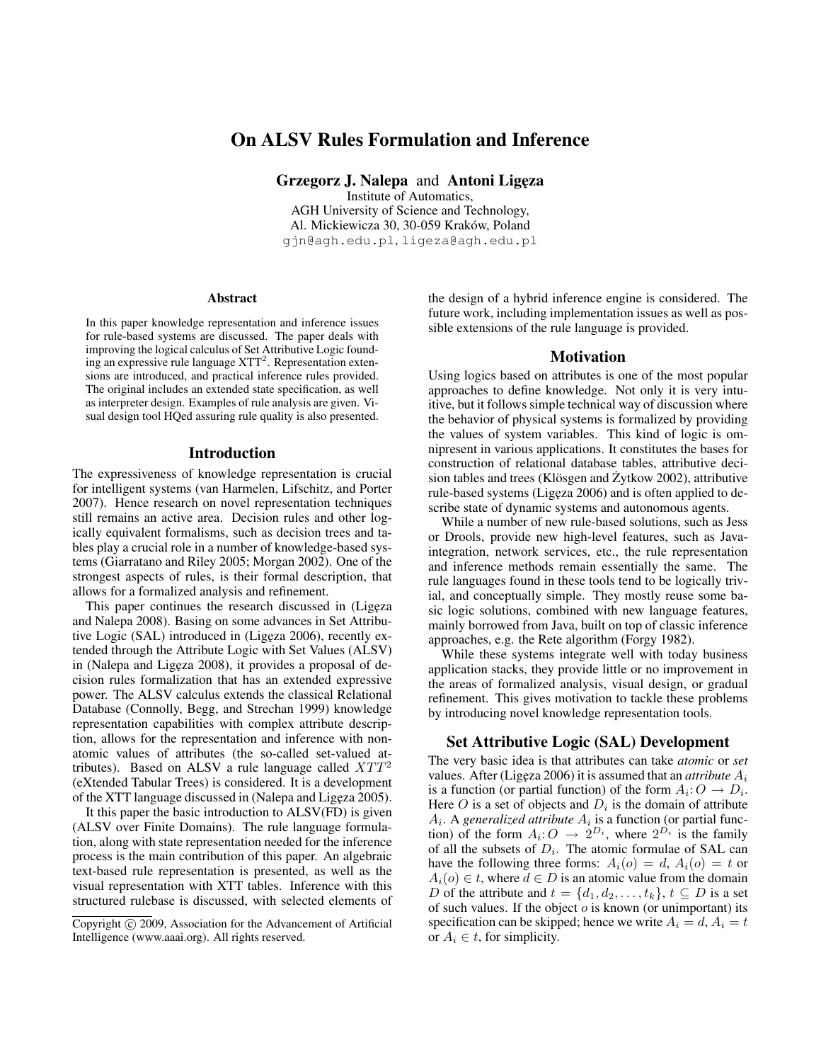# On ALSV Rules Formulation and Inference

Grzegorz J. Nalepa and Antoni Ligęza

Institute of Automatics, AGH University of Science and Technology, Al. Mickiewicza 30, 30-059 Kraków, Poland gjn@agh.edu.pl, ligeza@agh.edu.pl

#### **Abstract**

In this paper knowledge representation and inference issues for rule-based systems are discussed. The paper deals with improving the logical calculus of Set Attributive Logic founding an expressive rule language  $XTT<sup>2</sup>$ . Representation extensions are introduced, and practical inference rules provided. The original includes an extended state specification, as well as interpreter design. Examples of rule analysis are given. Visual design tool HQed assuring rule quality is also presented.

## Introduction

The expressiveness of knowledge representation is crucial for intelligent systems (van Harmelen, Lifschitz, and Porter 2007). Hence research on novel representation techniques still remains an active area. Decision rules and other logically equivalent formalisms, such as decision trees and tables play a crucial role in a number of knowledge-based systems (Giarratano and Riley 2005; Morgan 2002). One of the strongest aspects of rules, is their formal description, that allows for a formalized analysis and refinement.

This paper continues the research discussed in (Ligeza) and Nalepa 2008). Basing on some advances in Set Attributive Logic (SAL) introduced in (Ligęza 2006), recently extended through the Attribute Logic with Set Values (ALSV) in (Nalepa and Ligęza 2008), it provides a proposal of decision rules formalization that has an extended expressive power. The ALSV calculus extends the classical Relational Database (Connolly, Begg, and Strechan 1999) knowledge representation capabilities with complex attribute description, allows for the representation and inference with nonatomic values of attributes (the so-called set-valued attributes). Based on ALSV a rule language called  $XTT<sup>2</sup>$ (eXtended Tabular Trees) is considered. It is a development of the XTT language discussed in (Nalepa and Ligęza 2005).

It this paper the basic introduction to ALSV(FD) is given (ALSV over Finite Domains). The rule language formulation, along with state representation needed for the inference process is the main contribution of this paper. An algebraic text-based rule representation is presented, as well as the visual representation with XTT tables. Inference with this structured rulebase is discussed, with selected elements of

the design of a hybrid inference engine is considered. The future work, including implementation issues as well as possible extensions of the rule language is provided.

#### Motivation

Using logics based on attributes is one of the most popular approaches to define knowledge. Not only it is very intuitive, but it follows simple technical way of discussion where the behavior of physical systems is formalized by providing the values of system variables. This kind of logic is omnipresent in various applications. It constitutes the bases for construction of relational database tables, attributive decision tables and trees (Klösgen and  $\dot{Z}$ ytkow 2002), attributive rule-based systems (Ligęza 2006) and is often applied to describe state of dynamic systems and autonomous agents.

While a number of new rule-based solutions, such as Jess or Drools, provide new high-level features, such as Javaintegration, network services, etc., the rule representation and inference methods remain essentially the same. The rule languages found in these tools tend to be logically trivial, and conceptually simple. They mostly reuse some basic logic solutions, combined with new language features, mainly borrowed from Java, built on top of classic inference approaches, e.g. the Rete algorithm (Forgy 1982).

While these systems integrate well with today business application stacks, they provide little or no improvement in the areas of formalized analysis, visual design, or gradual refinement. This gives motivation to tackle these problems by introducing novel knowledge representation tools.

#### Set Attributive Logic (SAL) Development

The very basic idea is that attributes can take *atomic* or *set* values. After (Ligeza 2006) it is assumed that an *attribute*  $A_i$ is a function (or partial function) of the form  $A_i: O \to D_i$ . Here O is a set of objects and  $D_i$  is the domain of attribute  $A_i$ . A *generalized attribute*  $A_i$  is a function (or partial function) of the form  $A_i: O \to 2^{D_i}$ , where  $2^{D_i}$  is the family of all the subsets of  $D_i$ . The atomic formulae of SAL can have the following three forms:  $A_i(o) = d, A_i(o) = t$  or  $A_i(o) \in t$ , where  $d \in D$  is an atomic value from the domain D of the attribute and  $t = \{d_1, d_2, \ldots, t_k\}, t \subseteq D$  is a set of such values. If the object  $o$  is known (or unimportant) its specification can be skipped; hence we write  $A_i = d, A_i = t$ or  $A_i \in t$ , for simplicity.

Copyright (c) 2009, Association for the Advancement of Artificial Intelligence (www.aaai.org). All rights reserved.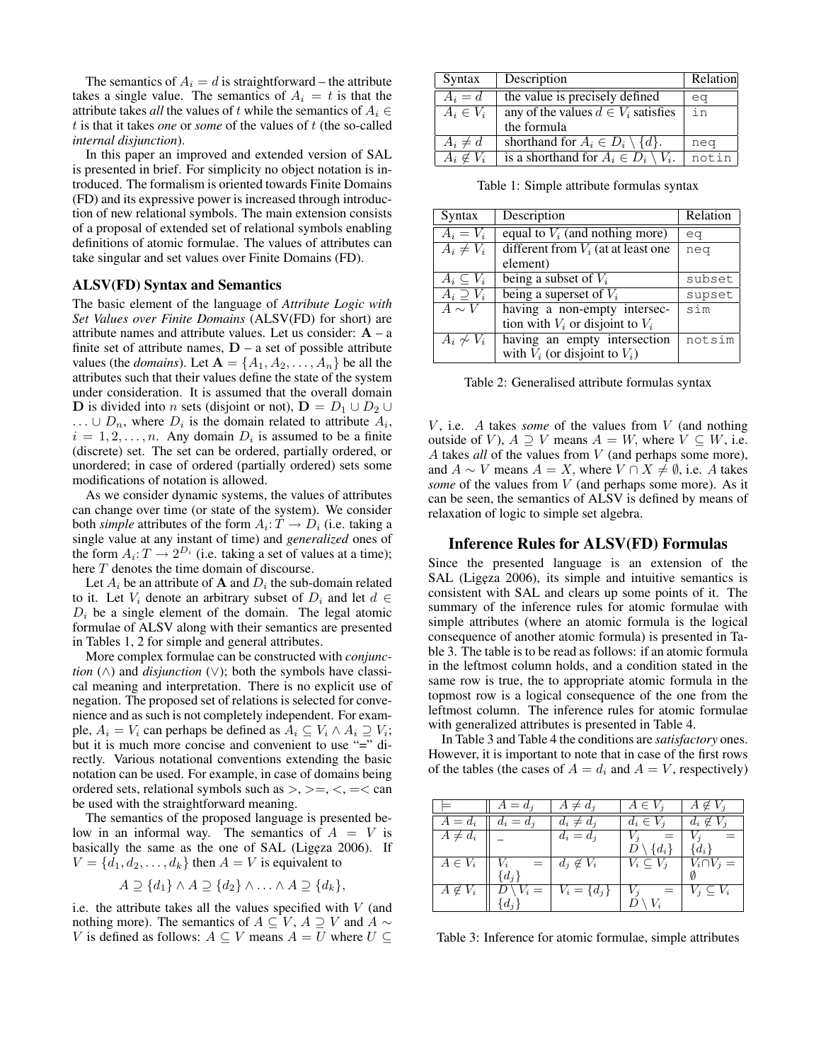The semantics of  $A_i = d$  is straightforward – the attribute takes a single value. The semantics of  $A_i = t$  is that the attribute takes *all* the values of t while the semantics of  $A_i \in$ t is that it takes *one* or *some* of the values of t (the so-called *internal disjunction*).

In this paper an improved and extended version of SAL is presented in brief. For simplicity no object notation is introduced. The formalism is oriented towards Finite Domains (FD) and its expressive power is increased through introduction of new relational symbols. The main extension consists of a proposal of extended set of relational symbols enabling definitions of atomic formulae. The values of attributes can take singular and set values over Finite Domains (FD).

#### ALSV(FD) Syntax and Semantics

The basic element of the language of *Attribute Logic with Set Values over Finite Domains* (ALSV(FD) for short) are attribute names and attribute values. Let us consider:  $A - a$ finite set of attribute names,  $D - a$  set of possible attribute values (the *domains*). Let  $A = \{A_1, A_2, \ldots, A_n\}$  be all the attributes such that their values define the state of the system under consideration. It is assumed that the overall domain **D** is divided into *n* sets (disjoint or not),  $D = D_1 \cup D_2 \cup D_3$  $\ldots \cup D_n$ , where  $D_i$  is the domain related to attribute  $A_i$ ,  $i = 1, 2, \dots, n$ . Any domain  $D_i$  is assumed to be a finite (discrete) set. The set can be ordered, partially ordered, or unordered; in case of ordered (partially ordered) sets some modifications of notation is allowed.

As we consider dynamic systems, the values of attributes can change over time (or state of the system). We consider both *simple* attributes of the form  $A_i: T \to D_i$  (i.e. taking a single value at any instant of time) and *generalized* ones of the form  $A_i: T \to 2^{D_i}$  (i.e. taking a set of values at a time); here  $T$  denotes the time domain of discourse.

Let  $A_i$  be an attribute of  $A$  and  $D_i$  the sub-domain related to it. Let  $V_i$  denote an arbitrary subset of  $D_i$  and let  $d \in$  $D_i$  be a single element of the domain. The legal atomic formulae of ALSV along with their semantics are presented in Tables 1, 2 for simple and general attributes.

More complex formulae can be constructed with *conjunction* (∧) and *disjunction* (∨); both the symbols have classical meaning and interpretation. There is no explicit use of negation. The proposed set of relations is selected for convenience and as such is not completely independent. For example,  $A_i = V_i$  can perhaps be defined as  $A_i \subseteq V_i \wedge A_i \supseteq V_i$ ; but it is much more concise and convenient to use "=" directly. Various notational conventions extending the basic notation can be used. For example, in case of domains being ordered sets, relational symbols such as  $\geq, \geq, \leq, \leq, \leq$  can be used with the straightforward meaning.

The semantics of the proposed language is presented below in an informal way. The semantics of  $A = V$  is basically the same as the one of SAL (Ligęza 2006). If  $V = \{d_1, d_2, \ldots, d_k\}$  then  $A = V$  is equivalent to

$$
A \supseteq \{d_1\} \wedge A \supseteq \{d_2\} \wedge \ldots \wedge A \supseteq \{d_k\},\
$$

i.e. the attribute takes all the values specified with  $V$  (and nothing more). The semantics of  $A \subseteq V$ ,  $A \supseteq V$  and  $A \sim$ V is defined as follows:  $A \subseteq V$  means  $A = U$  where  $U \subseteq$ 

| Syntax           | Description                                                 | Relation |
|------------------|-------------------------------------------------------------|----------|
| $A_i = d$        | the value is precisely defined                              | ea       |
| $A_i \in V_i$    | any of the values $d \in V_i$ satisfies                     | in       |
|                  | the formula                                                 |          |
| $A_i \neq d$     | shorthand for $A_i \in D_i \setminus \{d\}.$                | neg      |
| $A_i \notin V_i$ | is a shorthand for $\overline{A}_i \in D_i \setminus V_i$ . | notin    |

Table 1: Simple attribute formulas syntax

| Syntax              | Description                           | Relation |
|---------------------|---------------------------------------|----------|
| $A_i = V_i$         | equal to $V_i$ (and nothing more)     | eq       |
| $A_i \neq V_i$      | different from $V_i$ (at at least one | neg      |
|                     | element)                              |          |
| $A_i \subseteq V_i$ | being a subset of $V_i$               | subset   |
| $A_i \supseteq V_i$ | being a superset of $V_i$             | supset   |
| $A \sim V$          | having a non-empty intersec-          | sim      |
|                     | tion with $V_i$ or disjoint to $V_i$  |          |
| $A_i \not\sim V_i$  | having an empty intersection          | notsim   |
|                     | with $V_i$ (or disjoint to $V_i$ )    |          |

Table 2: Generalised attribute formulas syntax

 $V$ , i.e.  $\Lambda$  takes *some* of the values from  $V$  (and nothing outside of V),  $A \supseteq V$  means  $A = W$ , where  $V \subseteq W$ , i.e. A takes *all* of the values from V (and perhaps some more), and  $A \sim V$  means  $A = X$ , where  $V \cap X \neq \emptyset$ , i.e. A takes *some* of the values from V (and perhaps some more). As it can be seen, the semantics of ALSV is defined by means of relaxation of logic to simple set algebra.

## Inference Rules for ALSV(FD) Formulas

Since the presented language is an extension of the SAL (Ligeza 2006), its simple and intuitive semantics is consistent with SAL and clears up some points of it. The summary of the inference rules for atomic formulae with simple attributes (where an atomic formula is the logical consequence of another atomic formula) is presented in Table 3. The table is to be read as follows: if an atomic formula in the leftmost column holds, and a condition stated in the same row is true, the to appropriate atomic formula in the topmost row is a logical consequence of the one from the leftmost column. The inference rules for atomic formulae with generalized attributes is presented in Table 4.

In Table 3 and Table 4 the conditions are *satisfactory* ones. However, it is important to note that in case of the first rows of the tables (the cases of  $A = d_i$  and  $A = V$ , respectively)

|                        | $A = d_i$           | $A \neq d_i$     | $A \in V_i$         | $A \notin V_i$      |
|------------------------|---------------------|------------------|---------------------|---------------------|
| $A=d_i$                | $d_i = d_j$         | $d_i \neq d_j$   | $d_i \in V_i$       | $d_i \notin V_i$    |
| $A \neq d_i$           |                     | $d_i = d_j$      |                     |                     |
|                        |                     |                  | $D\setminus\{d_i\}$ | $\{d_i\}$           |
| $\overline{A} \in V_i$ | $\equiv$<br>$V_i$   | $d_i \notin V_i$ | $V_i \subseteq V_i$ | $V_i \cap V_j =$    |
|                        | $\{d_j\}$           |                  |                     |                     |
| $A \notin V_i$         | $D \setminus V_i =$ | $V_i = \{d_j\}$  | $V_j$<br>$=$        | $V_i \subseteq V_i$ |
|                        | $d_i$               |                  | $V_i$               |                     |

Table 3: Inference for atomic formulae, simple attributes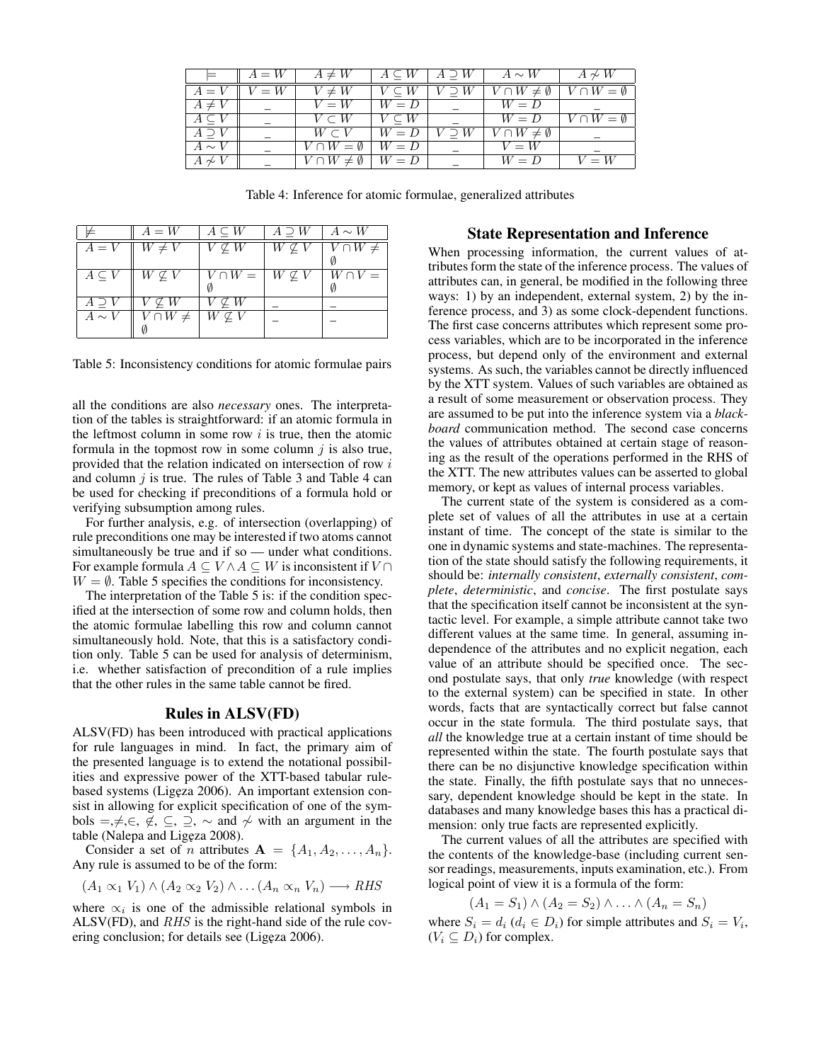|               | $A = W$ | $A \neq W$                        | $A \subseteq W$ | $A \supset W$ | $A \sim W$                | $A \not\sim W$         |
|---------------|---------|-----------------------------------|-----------------|---------------|---------------------------|------------------------|
| $A = V$       | $V = W$ | $V \neq W$                        |                 |               | $V \cap W \neq \emptyset$ | $V \cap W = \emptyset$ |
| $A \neq V$    |         | $V = W$                           | $W = D$         |               | $W = D$                   |                        |
| $A\subset$    |         | $V \subset W$                     | $V \subseteq W$ |               | $W = D$                   | $V \cap W = \emptyset$ |
| $A \supset V$ |         | $W \subset V$                     | $W = D$         | $V \supset W$ | $V \cap W \neq \emptyset$ |                        |
| $A \sim V$    |         | $\overline{V} \cap W = \emptyset$ | $W = D$         |               | $V = W$                   |                        |
| $A\not\sim V$ |         | $V \cap W \neq \emptyset$         | $W = D$         |               | $W = D$                   | $V = W$                |

Table 4: Inference for atomic formulae, generalized attributes

|                 | $A = W$          | $A \subseteq W$   | $A \supset W$       | $A \sim W$      |
|-----------------|------------------|-------------------|---------------------|-----------------|
| $A = V$         | $W \neq V$       | $V \nsubseteq W$  | $W \nsubseteq V$    | $V \cap W \neq$ |
| $A \subseteq V$ | $W \nsubseteq V$ | $V \cap W =$      | $W \not\subseteq V$ | $W \cap V =$    |
| A D             | $V \nsubseteq W$ | $\not\subseteq W$ |                     |                 |
| $A \sim V$      | $V \cap W \neq$  | $W \nsubseteq V$  |                     |                 |

Table 5: Inconsistency conditions for atomic formulae pairs

all the conditions are also *necessary* ones. The interpretation of the tables is straightforward: if an atomic formula in the leftmost column in some row  $i$  is true, then the atomic formula in the topmost row in some column  $j$  is also true, provided that the relation indicated on intersection of row i and column  $j$  is true. The rules of Table 3 and Table 4 can be used for checking if preconditions of a formula hold or verifying subsumption among rules.

For further analysis, e.g. of intersection (overlapping) of rule preconditions one may be interested if two atoms cannot simultaneously be true and if so — under what conditions. For example formula  $A \subseteq V \wedge A \subseteq W$  is inconsistent if  $V \cap$  $W = \emptyset$ . Table 5 specifies the conditions for inconsistency.

The interpretation of the Table 5 is: if the condition specified at the intersection of some row and column holds, then the atomic formulae labelling this row and column cannot simultaneously hold. Note, that this is a satisfactory condition only. Table 5 can be used for analysis of determinism, i.e. whether satisfaction of precondition of a rule implies that the other rules in the same table cannot be fired.

### Rules in ALSV(FD)

ALSV(FD) has been introduced with practical applications for rule languages in mind. In fact, the primary aim of the presented language is to extend the notational possibilities and expressive power of the XTT-based tabular rulebased systems (Ligęza 2006). An important extension consist in allowing for explicit specification of one of the symbols =,≠,∈,  $\notin$ , ⊆, ⊇,  $\sim$  and  $\nsim$  with an argument in the table (Nalepa and Ligęza 2008).

Consider a set of *n* attributes  $A = \{A_1, A_2, \ldots, A_n\}.$ Any rule is assumed to be of the form:

$$
(A_1 \propto_1 V_1) \wedge (A_2 \propto_2 V_2) \wedge \dots (A_n \propto_n V_n) \longrightarrow RHS
$$

where  $\alpha_i$  is one of the admissible relational symbols in ALSV(FD), and RHS is the right-hand side of the rule covering conclusion; for details see (Ligęza 2006).

## State Representation and Inference

When processing information, the current values of attributes form the state of the inference process. The values of attributes can, in general, be modified in the following three ways: 1) by an independent, external system, 2) by the inference process, and 3) as some clock-dependent functions. The first case concerns attributes which represent some process variables, which are to be incorporated in the inference process, but depend only of the environment and external systems. As such, the variables cannot be directly influenced by the XTT system. Values of such variables are obtained as a result of some measurement or observation process. They are assumed to be put into the inference system via a *blackboard* communication method. The second case concerns the values of attributes obtained at certain stage of reasoning as the result of the operations performed in the RHS of the XTT. The new attributes values can be asserted to global memory, or kept as values of internal process variables.

The current state of the system is considered as a complete set of values of all the attributes in use at a certain instant of time. The concept of the state is similar to the one in dynamic systems and state-machines. The representation of the state should satisfy the following requirements, it should be: *internally consistent*, *externally consistent*, *complete*, *deterministic*, and *concise*. The first postulate says that the specification itself cannot be inconsistent at the syntactic level. For example, a simple attribute cannot take two different values at the same time. In general, assuming independence of the attributes and no explicit negation, each value of an attribute should be specified once. The second postulate says, that only *true* knowledge (with respect to the external system) can be specified in state. In other words, facts that are syntactically correct but false cannot occur in the state formula. The third postulate says, that *all* the knowledge true at a certain instant of time should be represented within the state. The fourth postulate says that there can be no disjunctive knowledge specification within the state. Finally, the fifth postulate says that no unnecessary, dependent knowledge should be kept in the state. In databases and many knowledge bases this has a practical dimension: only true facts are represented explicitly.

The current values of all the attributes are specified with the contents of the knowledge-base (including current sensor readings, measurements, inputs examination, etc.). From logical point of view it is a formula of the form:

$$
(A_1 = S_1) \wedge (A_2 = S_2) \wedge \ldots \wedge (A_n = S_n)
$$

where  $S_i = d_i$  ( $d_i \in D_i$ ) for simple attributes and  $S_i = V_i$ ,  $(V_i \subseteq D_i)$  for complex.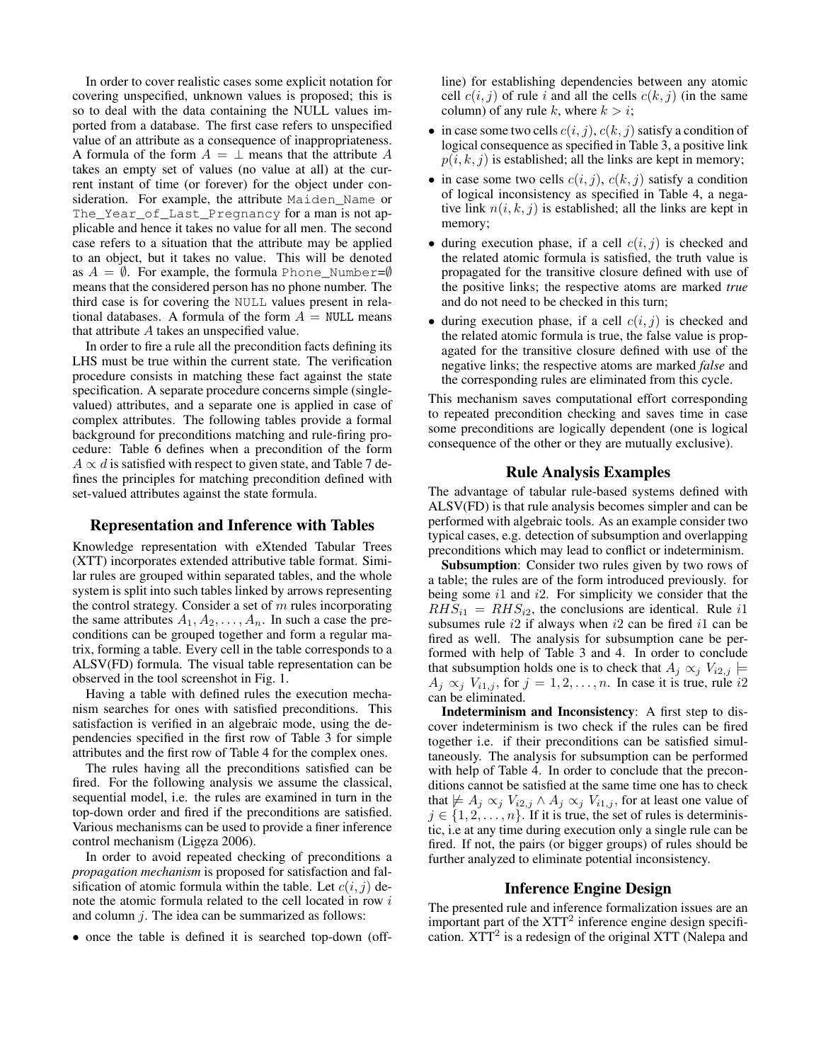In order to cover realistic cases some explicit notation for covering unspecified, unknown values is proposed; this is so to deal with the data containing the NULL values imported from a database. The first case refers to unspecified value of an attribute as a consequence of inappropriateness. A formula of the form  $A = \perp$  means that the attribute A takes an empty set of values (no value at all) at the current instant of time (or forever) for the object under consideration. For example, the attribute Maiden\_Name or The\_Year\_of\_Last\_Pregnancy for a man is not applicable and hence it takes no value for all men. The second case refers to a situation that the attribute may be applied to an object, but it takes no value. This will be denoted as  $A = \emptyset$ . For example, the formula Phone\_Number= $\emptyset$ means that the considered person has no phone number. The third case is for covering the NULL values present in relational databases. A formula of the form  $A = NULL$  means that attribute A takes an unspecified value.

In order to fire a rule all the precondition facts defining its LHS must be true within the current state. The verification procedure consists in matching these fact against the state specification. A separate procedure concerns simple (singlevalued) attributes, and a separate one is applied in case of complex attributes. The following tables provide a formal background for preconditions matching and rule-firing procedure: Table 6 defines when a precondition of the form  $A \propto d$  is satisfied with respect to given state, and Table 7 defines the principles for matching precondition defined with set-valued attributes against the state formula.

## Representation and Inference with Tables

Knowledge representation with eXtended Tabular Trees (XTT) incorporates extended attributive table format. Similar rules are grouped within separated tables, and the whole system is split into such tables linked by arrows representing the control strategy. Consider a set of  $m$  rules incorporating the same attributes  $A_1, A_2, \ldots, A_n$ . In such a case the preconditions can be grouped together and form a regular matrix, forming a table. Every cell in the table corresponds to a ALSV(FD) formula. The visual table representation can be observed in the tool screenshot in Fig. 1.

Having a table with defined rules the execution mechanism searches for ones with satisfied preconditions. This satisfaction is verified in an algebraic mode, using the dependencies specified in the first row of Table 3 for simple attributes and the first row of Table 4 for the complex ones.

The rules having all the preconditions satisfied can be fired. For the following analysis we assume the classical, sequential model, i.e. the rules are examined in turn in the top-down order and fired if the preconditions are satisfied. Various mechanisms can be used to provide a finer inference control mechanism (Ligęza 2006).

In order to avoid repeated checking of preconditions a *propagation mechanism* is proposed for satisfaction and falsification of atomic formula within the table. Let  $c(i, j)$  denote the atomic formula related to the cell located in row i and column  $j$ . The idea can be summarized as follows:

• once the table is defined it is searched top-down (off-

line) for establishing dependencies between any atomic cell  $c(i, j)$  of rule i and all the cells  $c(k, j)$  (in the same column) of any rule k, where  $k > i$ ;

- in case some two cells  $c(i, j)$ ,  $c(k, j)$  satisfy a condition of logical consequence as specified in Table 3, a positive link  $p(i, k, j)$  is established; all the links are kept in memory;
- in case some two cells  $c(i, j)$ ,  $c(k, j)$  satisfy a condition of logical inconsistency as specified in Table 4, a negative link  $n(i, k, j)$  is established; all the links are kept in memory;
- during execution phase, if a cell  $c(i, j)$  is checked and the related atomic formula is satisfied, the truth value is propagated for the transitive closure defined with use of the positive links; the respective atoms are marked *true* and do not need to be checked in this turn;
- during execution phase, if a cell  $c(i, j)$  is checked and the related atomic formula is true, the false value is propagated for the transitive closure defined with use of the negative links; the respective atoms are marked *false* and the corresponding rules are eliminated from this cycle.

This mechanism saves computational effort corresponding to repeated precondition checking and saves time in case some preconditions are logically dependent (one is logical consequence of the other or they are mutually exclusive).

## Rule Analysis Examples

The advantage of tabular rule-based systems defined with ALSV(FD) is that rule analysis becomes simpler and can be performed with algebraic tools. As an example consider two typical cases, e.g. detection of subsumption and overlapping preconditions which may lead to conflict or indeterminism.

Subsumption: Consider two rules given by two rows of a table; the rules are of the form introduced previously. for being some  $i1$  and  $i2$ . For simplicity we consider that the  $RHS_{i1} = RHS_{i2}$ , the conclusions are identical. Rule i1 subsumes rule  $i2$  if always when  $i2$  can be fired  $i1$  can be fired as well. The analysis for subsumption cane be performed with help of Table 3 and 4. In order to conclude that subsumption holds one is to check that  $A_j \propto_j V_{i2,j}$   $\models$  $A_j \propto_j V_{i1,j}$ , for  $j = 1, 2, \ldots, n$ . In case it is true, rule i2 can be eliminated.

Indeterminism and Inconsistency: A first step to discover indeterminism is two check if the rules can be fired together i.e. if their preconditions can be satisfied simultaneously. The analysis for subsumption can be performed with help of Table 4. In order to conclude that the preconditions cannot be satisfied at the same time one has to check that  $\not\models A_j \propto_j V_{i2,j} \wedge A_j \propto_j V_{i1,j}$ , for at least one value of  $j \in \{1, 2, \ldots, n\}$ . If it is true, the set of rules is deterministic, i.e at any time during execution only a single rule can be fired. If not, the pairs (or bigger groups) of rules should be further analyzed to eliminate potential inconsistency.

## Inference Engine Design

The presented rule and inference formalization issues are an important part of the  $XTT<sup>2</sup>$  inference engine design specification.  $XTT<sup>2</sup>$  is a redesign of the original XTT (Nalepa and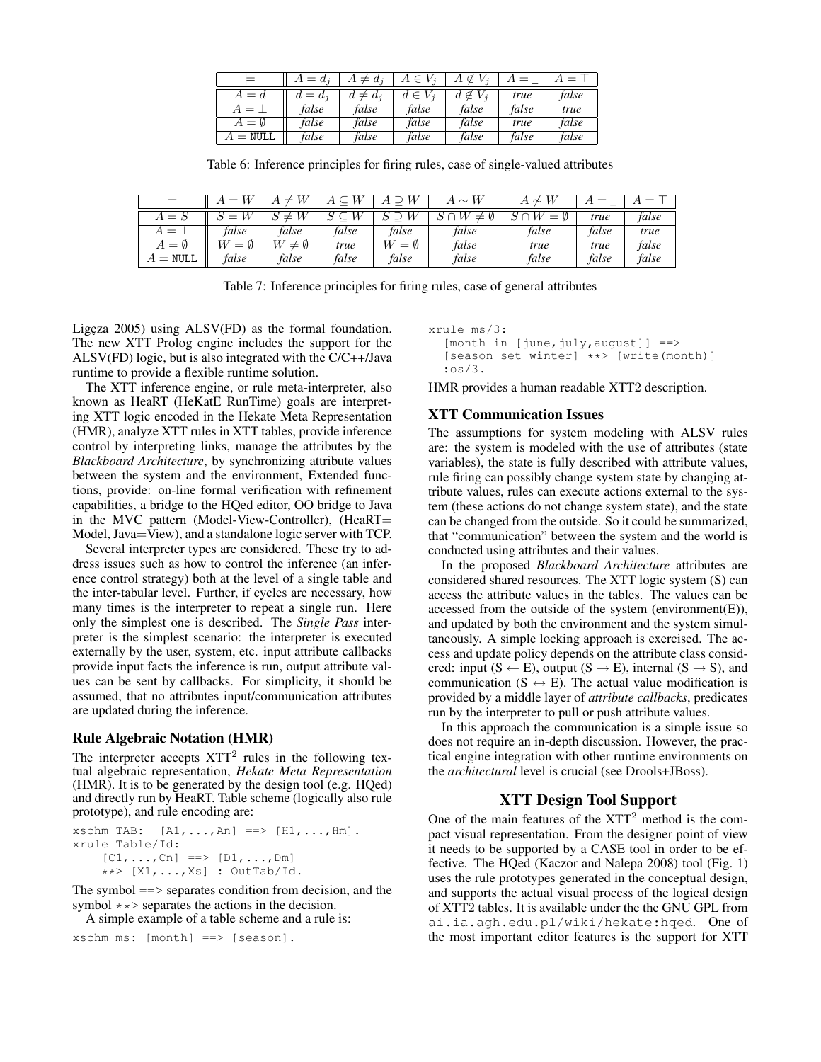|                           | $A = d_i$ | $A \neq d_i$ | $A \in V_i$ | $V_i$<br>$\in$<br>А | $=$   | $=$   |
|---------------------------|-----------|--------------|-------------|---------------------|-------|-------|
| $A = d$                   | $d = d_i$ | $d \neq d_i$ | $d \in V_i$ | $d \notin V_i$      | true  | false |
| $A=\bot$                  | false     | false        | false       | false               | false | true  |
| $A = \emptyset$           | false     | false        | false       | false               | true  | false |
| $\lambda = \texttt{NULL}$ | false     | false        | false       | false               | false | false |

Table 6: Inference principles for firing rules, case of single-valued attributes

|           | W<br>$=$ | $\pm$            | W     | W        | W<br>$A \sim$ | И<br>∼<br>A          |       |       |
|-----------|----------|------------------|-------|----------|---------------|----------------------|-------|-------|
| $A = S$   | и<br>$=$ | ≠                | W     | W        | W<br>V)<br>≠  | W<br>$\omega$<br>$=$ | true  | false |
| ` = ⊥     | false    | false            | false | false    | false         | false                | false | true  |
| V)<br>$=$ | $=$      | Ø<br>W<br>$\neq$ | true  | Ø<br>$=$ | false         | true                 | true  | false |
| $=$ NULL  | false    | false            | false | false    | false         | false                | false | false |

Table 7: Inference principles for firing rules, case of general attributes

Ligeza  $2005$ ) using  $ALSV(FD)$  as the formal foundation. The new XTT Prolog engine includes the support for the ALSV(FD) logic, but is also integrated with the C/C++/Java runtime to provide a flexible runtime solution.

The XTT inference engine, or rule meta-interpreter, also known as HeaRT (HeKatE RunTime) goals are interpreting XTT logic encoded in the Hekate Meta Representation (HMR), analyze XTT rules in XTT tables, provide inference control by interpreting links, manage the attributes by the *Blackboard Architecture*, by synchronizing attribute values between the system and the environment, Extended functions, provide: on-line formal verification with refinement capabilities, a bridge to the HQed editor, OO bridge to Java in the MVC pattern (Model-View-Controller), (HeaRT= Model, Java=View), and a standalone logic server with TCP.

Several interpreter types are considered. These try to address issues such as how to control the inference (an inference control strategy) both at the level of a single table and the inter-tabular level. Further, if cycles are necessary, how many times is the interpreter to repeat a single run. Here only the simplest one is described. The *Single Pass* interpreter is the simplest scenario: the interpreter is executed externally by the user, system, etc. input attribute callbacks provide input facts the inference is run, output attribute values can be sent by callbacks. For simplicity, it should be assumed, that no attributes input/communication attributes are updated during the inference.

#### Rule Algebraic Notation (HMR)

The interpreter accepts  $XTT<sup>2</sup>$  rules in the following textual algebraic representation, *Hekate Meta Representation* (HMR). It is to be generated by the design tool (e.g. HQed) and directly run by HeaRT. Table scheme (logically also rule prototype), and rule encoding are:

```
xschm TAB: [A1, \ldots, An] \implies [H1, \ldots, Hm].
xrule Table/Id:
    [CI, ..., Cn] ==> [DI, ..., Dm]**> [X1,...,Xs] : OutTab/Id.
```
The symbol  $==$  separates condition from decision, and the symbol  $**$  separates the actions in the decision.

A simple example of a table scheme and a rule is:

```
xschm ms: [month] ==> [season].
```
xrule ms/3:  $[month in [june, july, august]] ==$ [season set winter] \*\*> [write(month)] :os/3.

HMR provides a human readable XTT2 description.

### XTT Communication Issues

The assumptions for system modeling with ALSV rules are: the system is modeled with the use of attributes (state variables), the state is fully described with attribute values, rule firing can possibly change system state by changing attribute values, rules can execute actions external to the system (these actions do not change system state), and the state can be changed from the outside. So it could be summarized, that "communication" between the system and the world is conducted using attributes and their values.

In the proposed *Blackboard Architecture* attributes are considered shared resources. The XTT logic system (S) can access the attribute values in the tables. The values can be accessed from the outside of the system (environment(E)), and updated by both the environment and the system simultaneously. A simple locking approach is exercised. The access and update policy depends on the attribute class considered: input  $(S \leftarrow E)$ , output  $(S \rightarrow E)$ , internal  $(S \rightarrow S)$ , and communication ( $S \leftrightarrow E$ ). The actual value modification is provided by a middle layer of *attribute callbacks*, predicates run by the interpreter to pull or push attribute values.

In this approach the communication is a simple issue so does not require an in-depth discussion. However, the practical engine integration with other runtime environments on the *architectural* level is crucial (see Drools+JBoss).

# XTT Design Tool Support

One of the main features of the XTT<sup>2</sup> method is the compact visual representation. From the designer point of view it needs to be supported by a CASE tool in order to be effective. The HQed (Kaczor and Nalepa 2008) tool (Fig. 1) uses the rule prototypes generated in the conceptual design, and supports the actual visual process of the logical design of XTT2 tables. It is available under the the GNU GPL from ai.ia.agh.edu.pl/wiki/hekate:hqed. One of the most important editor features is the support for XTT